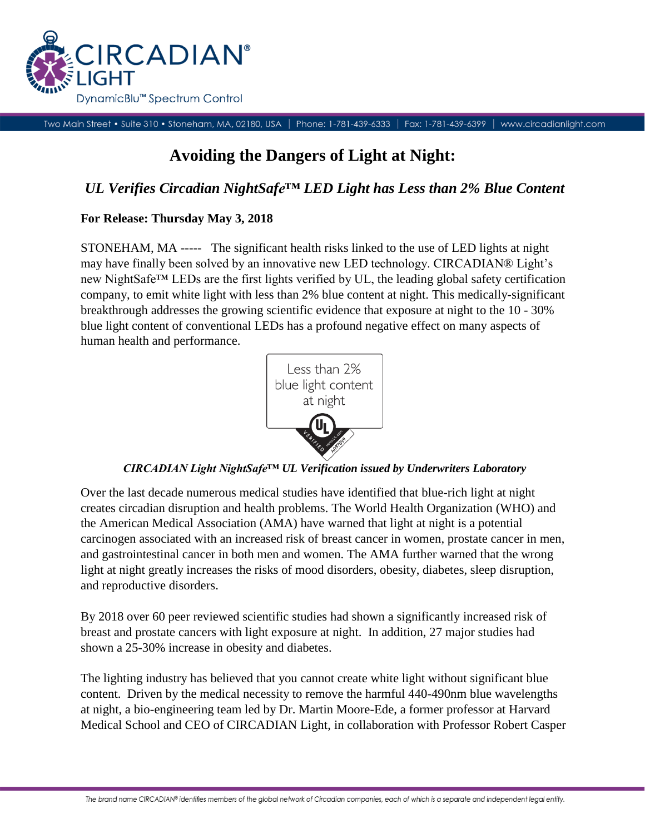

Two Main Street • Suite 310 • Stoneham, MA, 02180, USA | Phone: 1-781-439-6333 | Fax: 1-781-439-6399 www.circadianlight.com

# **Avoiding the Dangers of Light at Night:**

# *UL Verifies Circadian NightSafe™ LED Light has Less than 2% Blue Content*

## **For Release: Thursday May 3, 2018**

STONEHAM, MA ----- The significant health risks linked to the use of LED lights at night may have finally been solved by an innovative new LED technology. CIRCADIAN® Light's new NightSafe™ LEDs are the first lights verified by UL, the leading global safety certification company, to emit white light with less than 2% blue content at night. This medically-significant breakthrough addresses the growing scientific evidence that exposure at night to the 10 - 30% blue light content of conventional LEDs has a profound negative effect on many aspects of human health and performance.



*CIRCADIAN Light NightSafe™ UL Verification issued by Underwriters Laboratory*

Over the last decade numerous medical studies have identified that blue-rich light at night creates circadian disruption and health problems. The World Health Organization (WHO) and the American Medical Association (AMA) have warned that light at night is a potential carcinogen associated with an increased risk of breast cancer in women, prostate cancer in men, and gastrointestinal cancer in both men and women. The AMA further warned that the wrong light at night greatly increases the risks of mood disorders, obesity, diabetes, sleep disruption, and reproductive disorders.

By 2018 over 60 peer reviewed scientific studies had shown a significantly increased risk of breast and prostate cancers with light exposure at night. In addition, 27 major studies had shown a 25-30% increase in obesity and diabetes.

The lighting industry has believed that you cannot create white light without significant blue content. Driven by the medical necessity to remove the harmful 440-490nm blue wavelengths at night, a bio-engineering team led by Dr. Martin Moore-Ede, a former professor at Harvard Medical School and CEO of CIRCADIAN Light, in collaboration with Professor Robert Casper